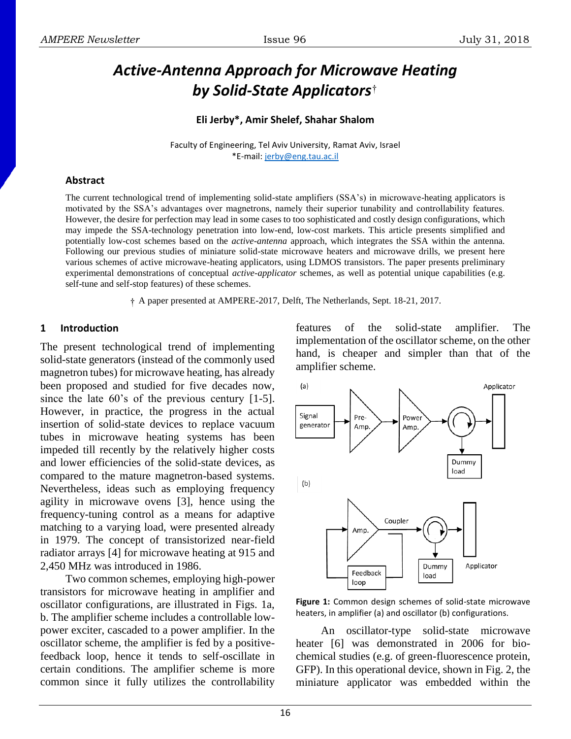# *Active-Antenna Approach for Microwave Heating by Solid-State Applicators* †

#### **Eli Jerby\*, Amir Shelef, Shahar Shalom**

Faculty of Engineering, Tel Aviv University, Ramat Aviv, Israel \*E-mail: [jerby@eng.tau.ac.il](mailto:jerby@eng.tau.ac.il)

#### **Abstract**

The current technological trend of implementing solid-state amplifiers (SSA's) in microwave-heating applicators is motivated by the SSA's advantages over magnetrons, namely their superior tunability and controllability features. However, the desire for perfection may lead in some cases to too sophisticated and costly design configurations, which may impede the SSA-technology penetration into low-end, low-cost markets. This article presents simplified and potentially low-cost schemes based on the *active-antenna* approach, which integrates the SSA within the antenna. Following our previous studies of miniature solid-state microwave heaters and microwave drills, we present here various schemes of active microwave-heating applicators, using LDMOS transistors. The paper presents preliminary experimental demonstrations of conceptual *active-applicator* schemes, as well as potential unique capabilities (e.g. self-tune and self-stop features) of these schemes.

† A paper presented at AMPERE-2017, Delft, The Netherlands, Sept. 18-21, 2017.

#### **1 Introduction**

The present technological trend of implementing solid-state generators (instead of the commonly used magnetron tubes) for microwave heating, has already been proposed and studied for five decades now, since the late 60's of the previous century [1-5]. However, in practice, the progress in the actual insertion of solid-state devices to replace vacuum tubes in microwave heating systems has been impeded till recently by the relatively higher costs and lower efficiencies of the solid-state devices, as compared to the mature magnetron-based systems. Nevertheless, ideas such as employing frequency agility in microwave ovens [3], hence using the frequency-tuning control as a means for adaptive matching to a varying load, were presented already in 1979. The concept of transistorized near-field radiator arrays [4] for microwave heating at 915 and 2,450 MHz was introduced in 1986.

Two common schemes, employing high-power transistors for microwave heating in amplifier and oscillator configurations, are illustrated in Figs. 1a, b. The amplifier scheme includes a controllable lowpower exciter, cascaded to a power amplifier. In the oscillator scheme, the amplifier is fed by a positivefeedback loop, hence it tends to self-oscillate in certain conditions. The amplifier scheme is more common since it fully utilizes the controllability features of the solid-state amplifier. The implementation of the oscillator scheme, on the other hand, is cheaper and simpler than that of the amplifier scheme.



**Figure 1:** Common design schemes of solid-state microwave heaters, in amplifier (a) and oscillator (b) configurations.

An oscillator-type solid-state microwave heater [6] was demonstrated in 2006 for biochemical studies (e.g. of green-fluorescence protein, GFP). In this operational device, shown in Fig. 2, the miniature applicator was embedded within the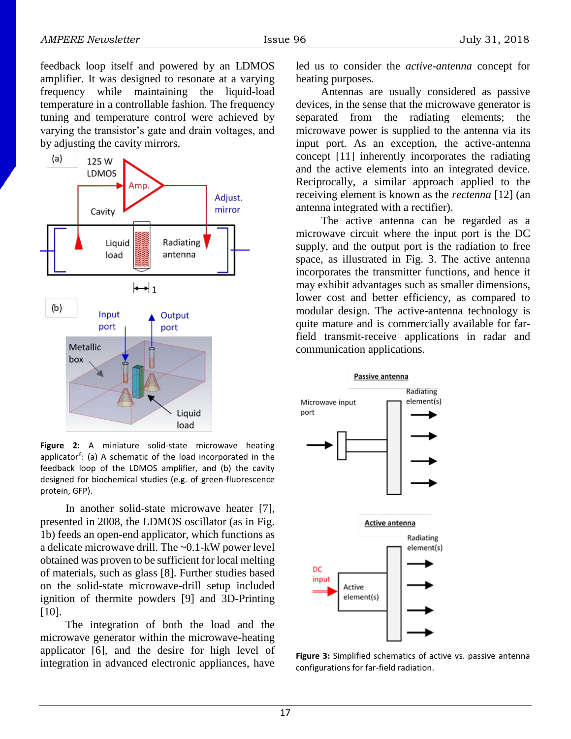feedback loop itself and powered by an LDMOS amplifier. It was designed to resonate at a varying frequency while maintaining the liquid-load temperature in a controllable fashion. The frequency tuning and temperature control were achieved by varying the transistor's gate and drain voltages, and by adjusting the cavity mirrors.



**Figure 2:** A miniature solid-state microwave heating applicator<sup>6</sup>: (a) A schematic of the load incorporated in the feedback loop of the LDMOS amplifier, and (b) the cavity designed for biochemical studies (e.g. of green-fluorescence protein, GFP).

In another solid-state microwave heater [7], presented in 2008, the LDMOS oscillator (as in Fig. 1b) feeds an open-end applicator, which functions as a delicate microwave drill. The ~0.1-kW power level obtained was proven to be sufficient for local melting of materials, such as glass [8]. Further studies based on the solid-state microwave-drill setup included ignition of thermite powders [9] and 3D-Printing [10].

The integration of both the load and the microwave generator within the microwave-heating applicator [6], and the desire for high level of integration in advanced electronic appliances, have

led us to consider the *active-antenna* concept for heating purposes.

Antennas are usually considered as passive devices, in the sense that the microwave generator is separated from the radiating elements; the microwave power is supplied to the antenna via its input port. As an exception, the active-antenna concept [11] inherently incorporates the radiating and the active elements into an integrated device. Reciprocally, a similar approach applied to the receiving element is known as the *rectenna* [12] (an antenna integrated with a rectifier).

The active antenna can be regarded as a microwave circuit where the input port is the DC supply, and the output port is the radiation to free space, as illustrated in Fig. 3. The active antenna incorporates the transmitter functions, and hence it may exhibit advantages such as smaller dimensions, lower cost and better efficiency, as compared to modular design. The active-antenna technology is quite mature and is commercially available for farfield transmit-receive applications in radar and communication applications.



**Figure 3:** Simplified schematics of active vs. passive antenna configurations for far-field radiation.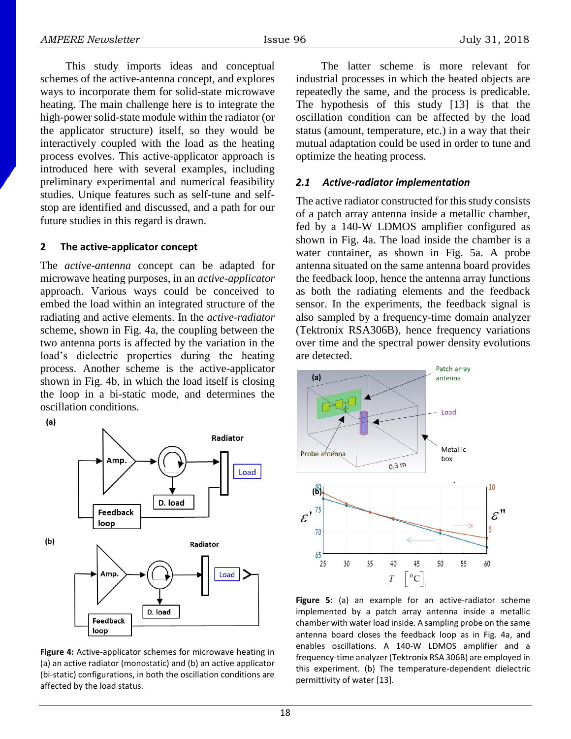This study imports ideas and conceptual schemes of the active-antenna concept, and explores ways to incorporate them for solid-state microwave heating. The main challenge here is to integrate the high-power solid-state module within the radiator (or the applicator structure) itself, so they would be interactively coupled with the load as the heating process evolves. This active-applicator approach is introduced here with several examples, including preliminary experimental and numerical feasibility studies. Unique features such as self-tune and selfstop are identified and discussed, and a path for our future studies in this regard is drawn.

#### **2 The active-applicator concept**

The *active-antenna* concept can be adapted for microwave heating purposes, in an *active-applicator* approach. Various ways could be conceived to embed the load within an integrated structure of the radiating and active elements. In the *active-radiator* scheme, shown in Fig. 4a, the coupling between the two antenna ports is affected by the variation in the load's dielectric properties during the heating process. Another scheme is the active-applicator shown in Fig. 4b, in which the load itself is closing the loop in a bi-static mode, and determines the oscillation conditions.

 $(a)$ 



**Figure 4:** Active-applicator schemes for microwave heating in (a) an active radiator (monostatic) and (b) an active applicator (bi-static) configurations, in both the oscillation conditions are affected by the load status.

The latter scheme is more relevant for industrial processes in which the heated objects are repeatedly the same, and the process is predicable. The hypothesis of this study [13] is that the oscillation condition can be affected by the load status (amount, temperature, etc.) in a way that their mutual adaptation could be used in order to tune and optimize the heating process.

## *2.1 Active-radiator implementation*

The active radiator constructed for this study consists of a patch array antenna inside a metallic chamber, fed by a 140-W LDMOS amplifier configured as shown in Fig. 4a. The load inside the chamber is a water container, as shown in Fig. 5a. A probe antenna situated on the same antenna board provides the feedback loop, hence the antenna array functions as both the radiating elements and the feedback sensor. In the experiments, the feedback signal is also sampled by a frequency-time domain analyzer (Tektronix RSA306B), hence frequency variations over time and the spectral power density evolutions are detected.



**Figure 5:** (a) an example for an active-radiator scheme implemented by a patch array antenna inside a metallic chamber with water load inside. A sampling probe on the same antenna board closes the feedback loop as in Fig. 4a, and enables oscillations. A 140-W LDMOS amplifier and a frequency-time analyzer (Tektronix RSA 306B) are employed in this experiment. (b) The temperature-dependent dielectric permittivity of water [13].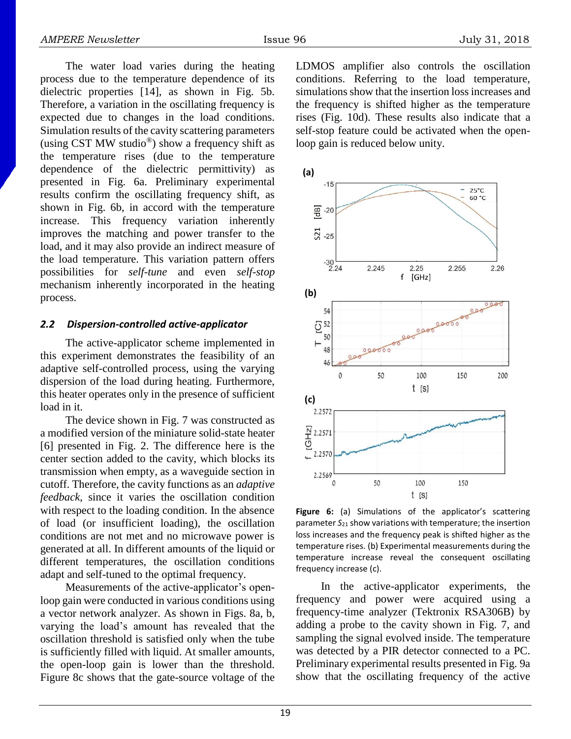The water load varies during the heating process due to the temperature dependence of its dielectric properties [14], as shown in Fig. 5b. Therefore, a variation in the oscillating frequency is expected due to changes in the load conditions. Simulation results of the cavity scattering parameters (using CST MW studio<sup>®</sup>) show a frequency shift as the temperature rises (due to the temperature dependence of the dielectric permittivity) as presented in Fig. 6a. Preliminary experimental results confirm the oscillating frequency shift, as shown in Fig. 6b, in accord with the temperature increase. This frequency variation inherently improves the matching and power transfer to the load, and it may also provide an indirect measure of the load temperature. This variation pattern offers possibilities for *self-tune* and even *self-stop* mechanism inherently incorporated in the heating process.

#### *2.2 Dispersion-controlled active-applicator*

The active-applicator scheme implemented in this experiment demonstrates the feasibility of an adaptive self-controlled process, using the varying dispersion of the load during heating. Furthermore, this heater operates only in the presence of sufficient load in it.

The device shown in Fig. 7 was constructed as a modified version of the miniature solid-state heater [6] presented in Fig. 2. The difference here is the center section added to the cavity, which blocks its transmission when empty, as a waveguide section in cutoff. Therefore, the cavity functions as an *adaptive feedback*, since it varies the oscillation condition with respect to the loading condition. In the absence of load (or insufficient loading), the oscillation conditions are not met and no microwave power is generated at all. In different amounts of the liquid or different temperatures, the oscillation conditions adapt and self-tuned to the optimal frequency.

Measurements of the active-applicator's openloop gain were conducted in various conditions using a vector network analyzer. As shown in Figs. 8a, b, varying the load's amount has revealed that the oscillation threshold is satisfied only when the tube is sufficiently filled with liquid. At smaller amounts, the open-loop gain is lower than the threshold. Figure 8c shows that the gate-source voltage of the LDMOS amplifier also controls the oscillation conditions. Referring to the load temperature, simulations show that the insertion loss increases and the frequency is shifted higher as the temperature rises (Fig. 10d). These results also indicate that a self-stop feature could be activated when the openloop gain is reduced below unity.



**Figure 6:** (a) Simulations of the applicator's scattering parameter *S*<sup>21</sup> show variations with temperature; the insertion loss increases and the frequency peak is shifted higher as the temperature rises. (b) Experimental measurements during the temperature increase reveal the consequent oscillating frequency increase (c).

In the active-applicator experiments, the frequency and power were acquired using a frequency-time analyzer (Tektronix RSA306B) by adding a probe to the cavity shown in Fig. 7, and sampling the signal evolved inside. The temperature was detected by a PIR detector connected to a PC. Preliminary experimental results presented in Fig. 9a show that the oscillating frequency of the active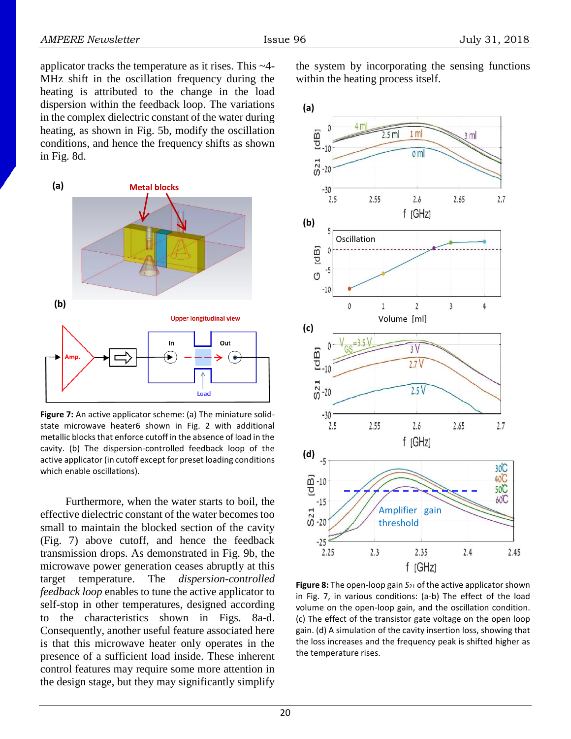applicator tracks the temperature as it rises. This ~4- MHz shift in the oscillation frequency during the heating is attributed to the change in the load dispersion within the feedback loop. The variations in the complex dielectric constant of the water during heating, as shown in Fig. 5b, modify the oscillation conditions, and hence the frequency shifts as shown in Fig. 8d.



**Figure 7:** An active applicator scheme: (a) The miniature solidstate microwave heater6 shown in Fig. 2 with additional metallic blocks that enforce cutoff in the absence of load in the cavity. (b) The dispersion-controlled feedback loop of the active applicator (in cutoff except for preset loading conditions which enable oscillations).

Furthermore, when the water starts to boil, the effective dielectric constant of the water becomes too small to maintain the blocked section of the cavity (Fig. 7) above cutoff, and hence the feedback transmission drops. As demonstrated in Fig. 9b, the microwave power generation ceases abruptly at this target temperature. The *dispersion-controlled feedback loop* enables to tune the active applicator to self-stop in other temperatures, designed according to the characteristics shown in Figs. 8a-d. Consequently, another useful feature associated here is that this microwave heater only operates in the presence of a sufficient load inside. These inherent control features may require some more attention in the design stage, but they may significantly simplify

the system by incorporating the sensing functions within the heating process itself.



**Figure 8:** The open-loop gain *S*<sup>21</sup> of the active applicator shown in Fig. 7, in various conditions: (a-b) The effect of the load volume on the open-loop gain, and the oscillation condition. (c) The effect of the transistor gate voltage on the open loop gain. (d) A simulation of the cavity insertion loss, showing that the loss increases and the frequency peak is shifted higher as the temperature rises.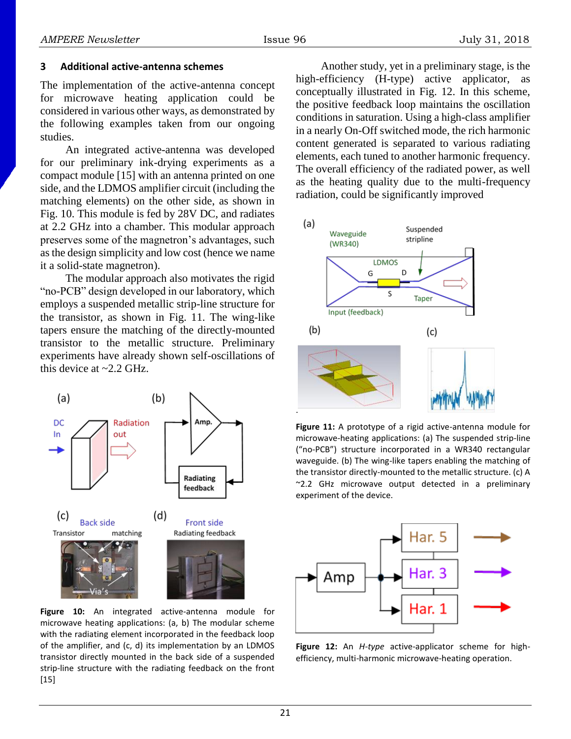### **3 Additional active-antenna schemes**

The implementation of the active-antenna concept for microwave heating application could be considered in various other ways, as demonstrated by the following examples taken from our ongoing studies.

An integrated active-antenna was developed for our preliminary ink-drying experiments as a compact module [15] with an antenna printed on one side, and the LDMOS amplifier circuit (including the matching elements) on the other side, as shown in Fig. 10. This module is fed by 28V DC, and radiates at 2.2 GHz into a chamber. This modular approach preserves some of the magnetron's advantages, such as the design simplicity and low cost (hence we name it a solid-state magnetron).

The modular approach also motivates the rigid "no-PCB" design developed in our laboratory, which employs a suspended metallic strip-line structure for the transistor, as shown in Fig. 11. The wing-like tapers ensure the matching of the directly-mounted transistor to the metallic structure. Preliminary experiments have already shown self-oscillations of this device at  $\sim$  2.2 GHz.



**Figure 10:** An integrated active-antenna module for microwave heating applications: (a, b) The modular scheme with the radiating element incorporated in the feedback loop of the amplifier, and (c, d) its implementation by an LDMOS transistor directly mounted in the back side of a suspended strip-line structure with the radiating feedback on the front [15]

Another study, yet in a preliminary stage, is the high-efficiency (H-type) active applicator, as conceptually illustrated in Fig. 12. In this scheme, the positive feedback loop maintains the oscillation conditions in saturation. Using a high-class amplifier in a nearly On-Off switched mode, the rich harmonic content generated is separated to various radiating elements, each tuned to another harmonic frequency. The overall efficiency of the radiated power, as well as the heating quality due to the multi-frequency radiation, could be significantly improved



**Figure 11:** A prototype of a rigid active-antenna module for microwave-heating applications: (a) The suspended strip-line ("no-PCB") structure incorporated in a WR340 rectangular waveguide. (b) The wing-like tapers enabling the matching of the transistor directly-mounted to the metallic structure. (c) A ~2.2 GHz microwave output detected in a preliminary experiment of the device.



**Figure 12:** An *H-type* active-applicator scheme for highefficiency, multi-harmonic microwave-heating operation.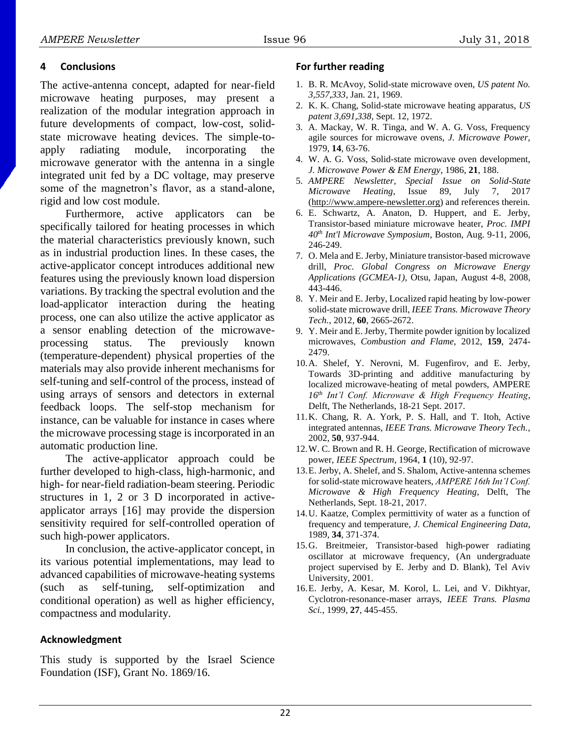## **4 Conclusions**

The active-antenna concept, adapted for near-field microwave heating purposes, may present a realization of the modular integration approach in future developments of compact, low-cost, solidstate microwave heating devices. The simple-toapply radiating module, incorporating the microwave generator with the antenna in a single integrated unit fed by a DC voltage, may preserve some of the magnetron's flavor, as a stand-alone, rigid and low cost module.

Furthermore, active applicators can be specifically tailored for heating processes in which the material characteristics previously known, such as in industrial production lines. In these cases, the active-applicator concept introduces additional new features using the previously known load dispersion variations. By tracking the spectral evolution and the load-applicator interaction during the heating process, one can also utilize the active applicator as a sensor enabling detection of the microwaveprocessing status. The previously known (temperature-dependent) physical properties of the materials may also provide inherent mechanisms for self-tuning and self-control of the process, instead of using arrays of sensors and detectors in external feedback loops. The self-stop mechanism for instance, can be valuable for instance in cases where the microwave processing stage is incorporated in an automatic production line.

The active-applicator approach could be further developed to high-class, high-harmonic, and high- for near-field radiation-beam steering. Periodic structures in 1, 2 or 3 D incorporated in activeapplicator arrays [16] may provide the dispersion sensitivity required for self-controlled operation of such high-power applicators.

In conclusion, the active-applicator concept, in its various potential implementations, may lead to advanced capabilities of microwave-heating systems (such as self-tuning, self-optimization and conditional operation) as well as higher efficiency, compactness and modularity.

## **Acknowledgment**

This study is supported by the Israel Science Foundation (ISF), Grant No. 1869/16.

### **For further reading**

- 1. B. R. McAvoy, Solid-state microwave oven, *US patent No. 3,557,333,* Jan. 21, 1969.
- 2. K. K. Chang, Solid-state microwave heating apparatus, *US patent 3,691,338,* Sept. 12, 1972.
- 3. A. Mackay, W. R. Tinga, and W. A. G. Voss, Frequency agile sources for microwave ovens, *J. Microwave Power*, 1979, **14**, 63-76.
- 4. W. A. G. Voss, Solid-state microwave oven development, *J. Microwave Power & EM Energy*, 1986, **21**, 188.
- 5. *AMPERE Newsletter, Special Issue on Solid-State Microwave Heating*, Issue 89, July 7, 2017 [\(http://www.ampere-newsletter.org\)](http://www.ampere-newsletter.org/) and references therein.
- 6. E. Schwartz, A. Anaton, D. Huppert, and E. Jerby, Transistor-based miniature microwave heater, *Proc. IMPI 40th Int'l Microwave Symposium*, Boston, Aug. 9-11, 2006, 246-249.
- 7. O. Mela and E. Jerby, Miniature transistor-based microwave drill, *Proc. Global Congress on Microwave Energy Applications (GCMEA-1)*, Otsu, Japan, August 4-8, 2008, 443-446.
- 8. Y. Meir and E. Jerby, Localized rapid heating by low-power solid-state microwave drill, *IEEE Trans. Microwave Theory Tech.*, 2012, **60**, 2665-2672.
- 9. Y. Meir and E. Jerby, Thermite powder ignition by localized microwaves, *Combustion and Flame,* 2012, **159**, 2474- 2479.
- 10.A. Shelef, Y. Nerovni, M. Fugenfirov, and E. Jerby, Towards 3D-printing and additive manufacturing by localized microwave-heating of metal powders, AMPERE *16th Int'l Conf. Microwave & High Frequency Heating*, Delft, The Netherlands, 18-21 Sept. 2017.
- 11.K. Chang, R. A. York, P. S. Hall, and T. Itoh, Active integrated antennas, *IEEE Trans. Microwave Theory Tech.*, 2002, **50**, 937-944.
- 12.W. C. Brown and R. H. George, Rectification of microwave power, *IEEE Spectrum*, 1964, **1** (10), 92-97.
- 13.E. Jerby, A. Shelef, and S. Shalom, Active-antenna schemes for solid-state microwave heaters, *AMPERE 16th Int'l Conf. Microwave & High Frequency Heating*, Delft, The Netherlands, Sept. 18-21, 2017.
- 14.U. Kaatze, Complex permittivity of water as a function of frequency and temperature, *J. Chemical Engineering Data*, 1989, **34**, 371-374.
- 15.G. Breitmeier, Transistor-based high-power radiating oscillator at microwave frequency, (An undergraduate project supervised by E. Jerby and D. Blank), Tel Aviv University, 2001.
- 16.E. Jerby, A. Kesar, M. Korol, L. Lei, and V. Dikhtyar, Cyclotron-resonance-maser arrays, *IEEE Trans. Plasma Sci.*, 1999, **27**, 445-455.